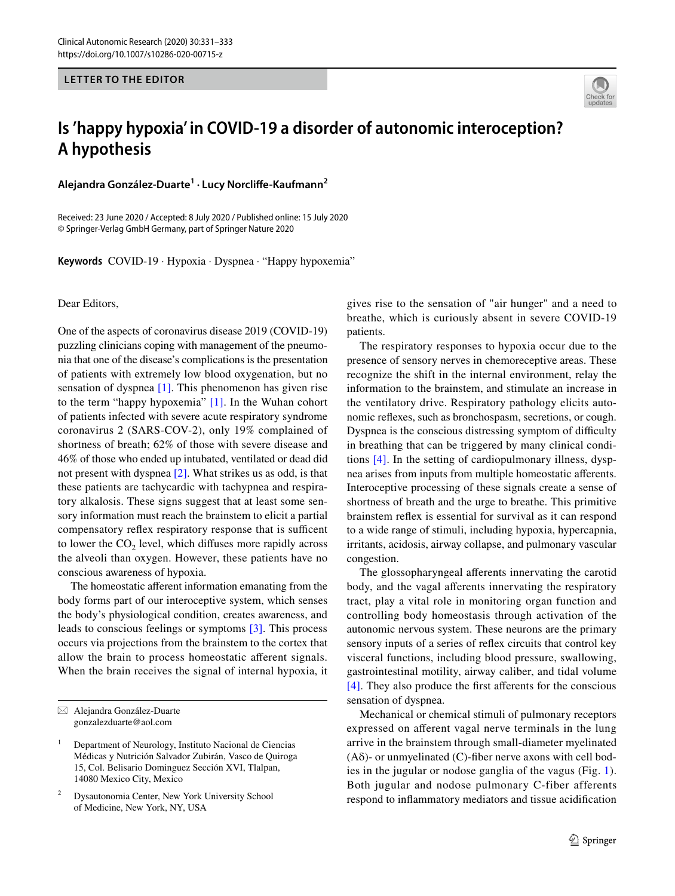## **LETTER TO THE EDITOR**



## **Is 'happy hypoxia' in COVID‑19 a disorder of autonomic interoception? A hypothesis**

**Alejandra González‑Duarte<sup>1</sup> · Lucy Norclife‑Kaufmann2**

Received: 23 June 2020 / Accepted: 8 July 2020 / Published online: 15 July 2020 © Springer-Verlag GmbH Germany, part of Springer Nature 2020

**Keywords** COVID-19 · Hypoxia · Dyspnea · "Happy hypoxemia"

Dear Editors,

One of the aspects of coronavirus disease 2019 (COVID-19) puzzling clinicians coping with management of the pneumonia that one of the disease's complications is the presentation of patients with extremely low blood oxygenation, but no sensation of dyspnea [\[1\]](#page-2-0). This phenomenon has given rise to the term "happy hypoxemia" [\[1\]](#page-2-0). In the Wuhan cohort of patients infected with severe acute respiratory syndrome coronavirus 2 (SARS-COV-2), only 19% complained of shortness of breath; 62% of those with severe disease and 46% of those who ended up intubated, ventilated or dead did not present with dyspnea [\[2\]](#page-2-1). What strikes us as odd, is that these patients are tachycardic with tachypnea and respiratory alkalosis. These signs suggest that at least some sensory information must reach the brainstem to elicit a partial compensatory reflex respiratory response that is sufficent to lower the  $CO<sub>2</sub>$  level, which diffuses more rapidly across the alveoli than oxygen. However, these patients have no conscious awareness of hypoxia.

The homeostatic afferent information emanating from the body forms part of our interoceptive system, which senses the body's physiological condition, creates awareness, and leads to conscious feelings or symptoms [\[3\].](#page-2-2) This process occurs via projections from the brainstem to the cortex that allow the brain to process homeostatic aferent signals. When the brain receives the signal of internal hypoxia, it gives rise to the sensation of "air hunger" and a need to breathe, which is curiously absent in severe COVID-19 patients.

The respiratory responses to hypoxia occur due to the presence of sensory nerves in chemoreceptive areas. These recognize the shift in the internal environment, relay the information to the brainstem, and stimulate an increase in the ventilatory drive. Respiratory pathology elicits autonomic refexes, such as bronchospasm, secretions, or cough. Dyspnea is the conscious distressing symptom of difficulty in breathing that can be triggered by many clinical conditions [\[4\]](#page-2-3). In the setting of cardiopulmonary illness, dyspnea arises from inputs from multiple homeostatic aferents. Interoceptive processing of these signals create a sense of shortness of breath and the urge to breathe. This primitive brainstem refex is essential for survival as it can respond to a wide range of stimuli, including hypoxia, hypercapnia, irritants, acidosis, airway collapse, and pulmonary vascular congestion.

The glossopharyngeal aferents innervating the carotid body, and the vagal aferents innervating the respiratory tract, play a vital role in monitoring organ function and controlling body homeostasis through activation of the autonomic nervous system. These neurons are the primary sensory inputs of a series of refex circuits that control key visceral functions, including blood pressure, swallowing, gastrointestinal motility, airway caliber, and tidal volume [\[4\]](#page-2-3). They also produce the frst aferents for the conscious sensation of dyspnea.

Mechanical or chemical stimuli of pulmonary receptors expressed on aferent vagal nerve terminals in the lung arrive in the brainstem through small-diameter myelinated  $(A\delta)$ - or unmyelinated (C)-fiber nerve axons with cell bodies in the jugular or nodose ganglia of the vagus (Fig. [1](#page-1-0)). Both jugular and nodose pulmonary C-fiber afferents respond to infammatory mediators and tissue acidifcation

 $\boxtimes$  Alejandra González-Duarte gonzalezduarte@aol.com

<sup>&</sup>lt;sup>1</sup> Department of Neurology, Instituto Nacional de Ciencias Médicas y Nutrición Salvador Zubirán, Vasco de Quiroga 15, Col. Belisario Dominguez Sección XVI, Tlalpan, 14080 Mexico City, Mexico

<sup>2</sup> Dysautonomia Center, New York University School of Medicine, New York, NY, USA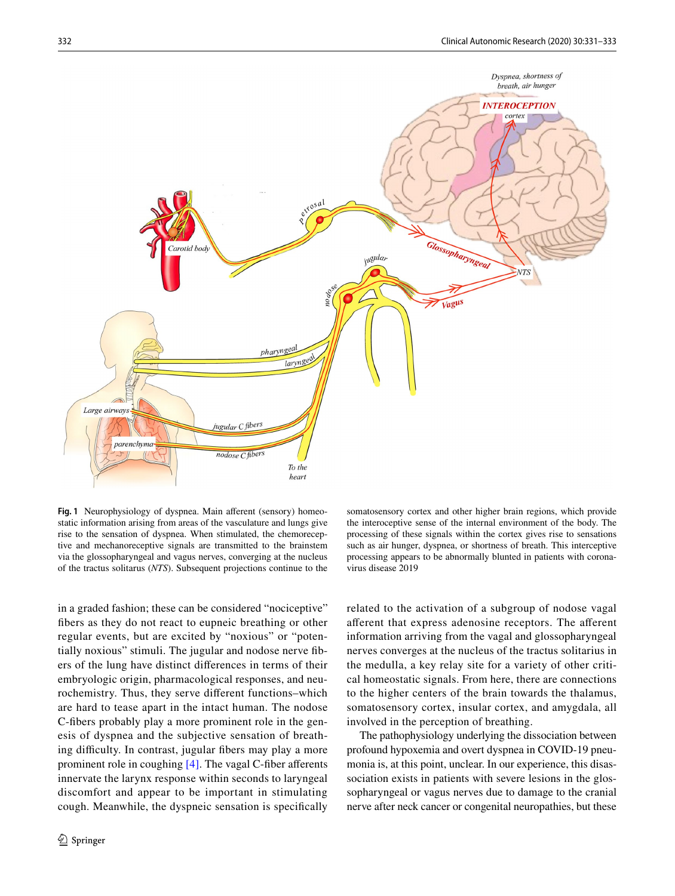

<span id="page-1-0"></span>Fig. 1 Neurophysiology of dyspnea. Main afferent (sensory) homeostatic information arising from areas of the vasculature and lungs give rise to the sensation of dyspnea. When stimulated, the chemoreceptive and mechanoreceptive signals are transmitted to the brainstem via the glossopharyngeal and vagus nerves, converging at the nucleus of the tractus solitarus (*NTS*). Subsequent projections continue to the

in a graded fashion; these can be considered "nociceptive" fbers as they do not react to eupneic breathing or other regular events, but are excited by "noxious" or "potentially noxious" stimuli. The jugular and nodose nerve fbers of the lung have distinct diferences in terms of their embryologic origin, pharmacological responses, and neurochemistry. Thus, they serve diferent functions–which are hard to tease apart in the intact human. The nodose C-fbers probably play a more prominent role in the genesis of dyspnea and the subjective sensation of breathing difficulty. In contrast, jugular fibers may play a more prominent role in coughing [\[4\].](#page-2-3) The vagal C-fiber afferents innervate the larynx response within seconds to laryngeal discomfort and appear to be important in stimulating cough. Meanwhile, the dyspneic sensation is specifcally

somatosensory cortex and other higher brain regions, which provide the interoceptive sense of the internal environment of the body. The processing of these signals within the cortex gives rise to sensations such as air hunger, dyspnea, or shortness of breath. This interceptive processing appears to be abnormally blunted in patients with coronavirus disease 2019

related to the activation of a subgroup of nodose vagal aferent that express adenosine receptors. The aferent information arriving from the vagal and glossopharyngeal nerves converges at the nucleus of the tractus solitarius in the medulla, a key relay site for a variety of other critical homeostatic signals. From here, there are connections to the higher centers of the brain towards the thalamus, somatosensory cortex, insular cortex, and amygdala, all involved in the perception of breathing.

The pathophysiology underlying the dissociation between profound hypoxemia and overt dyspnea in COVID-19 pneumonia is, at this point, unclear. In our experience, this disassociation exists in patients with severe lesions in the glossopharyngeal or vagus nerves due to damage to the cranial nerve after neck cancer or congenital neuropathies, but these